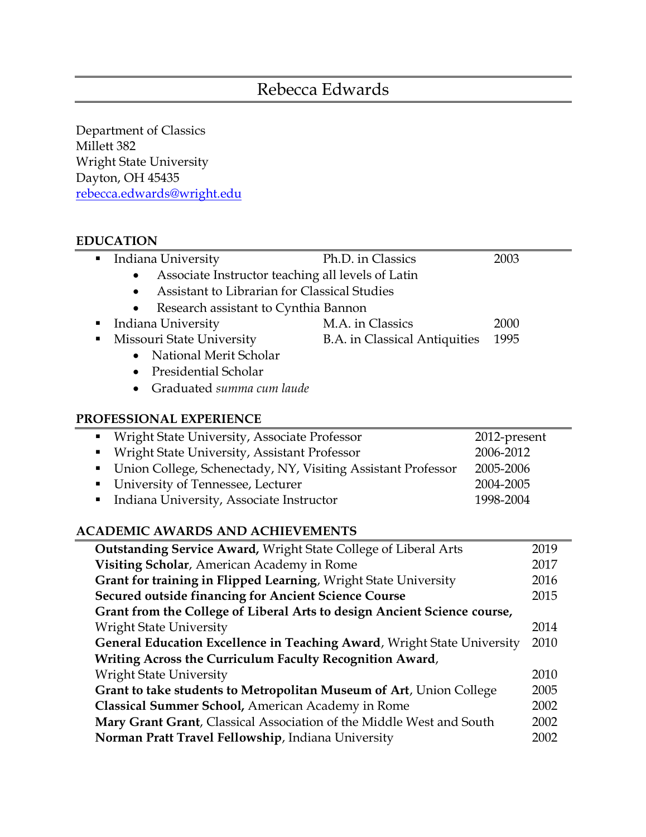# Rebecca Edwards

Department of Classics Millett 382 Wright State University Dayton, OH 45435 [rebecca.edwards@wright.edu](mailto:rebecca.edwards@wright.edu)

#### **EDUCATION**

| Indiana University<br>٠                                                        | Ph.D. in Classics | 2003         |      |
|--------------------------------------------------------------------------------|-------------------|--------------|------|
| Associate Instructor teaching all levels of Latin                              |                   |              |      |
| Assistant to Librarian for Classical Studies                                   |                   |              |      |
| Research assistant to Cynthia Bannon                                           |                   |              |      |
| Indiana University                                                             | M.A. in Classics  | 2000         |      |
| Missouri State University<br><b>B.A.</b> in Classical Antiquities<br>1995<br>п |                   |              |      |
| National Merit Scholar                                                         |                   |              |      |
| Presidential Scholar<br>$\bullet$                                              |                   |              |      |
| Graduated summa cum laude                                                      |                   |              |      |
|                                                                                |                   |              |      |
| PROFESSIONAL EXPERIENCE                                                        |                   |              |      |
| Wright State University, Associate Professor<br>п                              |                   | 2012-present |      |
| Wright State University, Assistant Professor<br>2006-2012<br>п                 |                   |              |      |
| Union College, Schenectady, NY, Visiting Assistant Professor<br>2005-2006<br>٠ |                   |              |      |
| University of Tennessee, Lecturer<br>2004-2005                                 |                   |              |      |
| Indiana University, Associate Instructor<br>1998-2004<br>п                     |                   |              |      |
| <b>ACADEMIC AWARDS AND ACHIEVEMENTS</b>                                        |                   |              |      |
| <b>Outstanding Service Award, Wright State College of Liberal Arts</b>         |                   |              | 2019 |
| Visiting Scholar, American Academy in Rome                                     |                   |              | 2017 |
| Grant for training in Flipped Learning, Wright State University                |                   |              | 2016 |
| <b>Secured outside financing for Ancient Science Course</b>                    |                   |              | 2015 |
| Grant from the College of Liberal Arts to design Ancient Science course,       |                   |              |      |
| <b>Wright State University</b>                                                 |                   |              | 2014 |
| General Education Excellence in Teaching Award, Wright State University        |                   |              | 2010 |
| Writing Across the Curriculum Faculty Recognition Award,                       |                   |              |      |
| <b>Wright State University</b>                                                 |                   |              | 2010 |
| Grant to take students to Metropolitan Museum of Art, Union College            |                   |              | 2005 |
| Classical Summer School, American Academy in Rome                              |                   |              | 2002 |
| Mary Grant Grant, Classical Association of the Middle West and South           |                   |              | 2002 |
| Norman Pratt Travel Fellowship, Indiana University                             |                   |              | 2002 |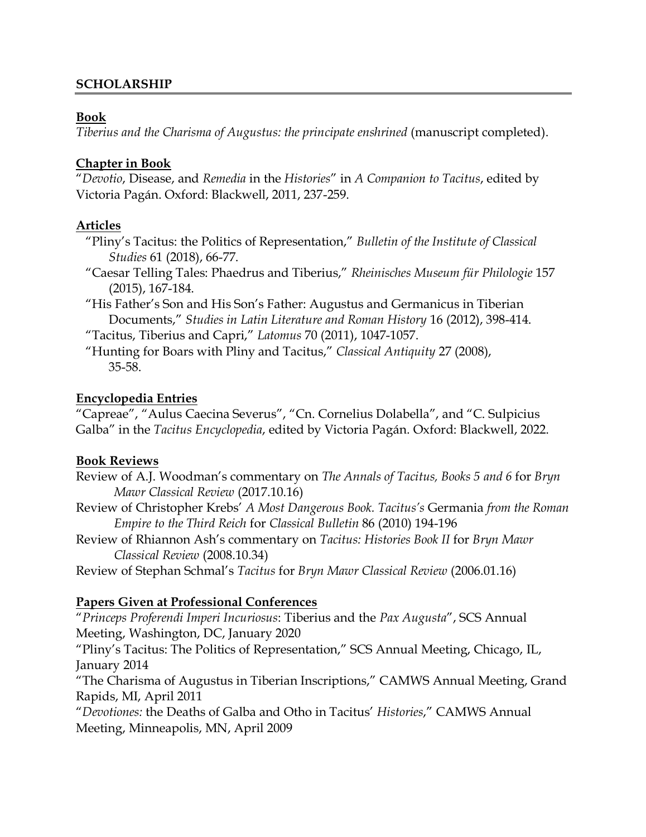#### **SCHOLARSHIP**

#### **Book**

*Tiberius and the Charisma of Augustus: the principate enshrined* (manuscript completed).

#### **Chapter in Book**

"*Devotio*, Disease, and *Remedia* in the *Histories*" in *A Companion to Tacitus*, edited by Victoria Pagán. Oxford: Blackwell, 2011, 237-259.

## **Articles**

- "Pliny's Tacitus: the Politics of Representation," *Bulletin of the Institute of Classical Studies* 61 (2018), 66-77.
- "Caesar Telling Tales: Phaedrus and Tiberius," *Rheinisches Museum für Philologie* 157 (2015), 167-184.
- "His Father's Son and His Son's Father: Augustus and Germanicus in Tiberian Documents," *Studies in Latin Literature and Roman History* 16 (2012), 398-414.
- "Tacitus, Tiberius and Capri," *Latomus* 70 (2011), 1047-1057.
- "Hunting for Boars with Pliny and Tacitus," *Classical Antiquity* 27 (2008), 35-58.

### **Encyclopedia Entries**

"Capreae", "Aulus Caecina Severus", "Cn. Cornelius Dolabella", and "C. Sulpicius Galba" in the *Tacitus Encyclopedia*, edited by Victoria Pagán. Oxford: Blackwell, 2022.

## **Book Reviews**

- Review of A.J. Woodman's commentary on *The Annals of Tacitus, Books 5 and 6* for *Bryn Mawr Classical Review* (2017.10.16)
- Review of Christopher Krebs' *A Most Dangerous Book. Tacitus's* Germania *from the Roman Empire to the Third Reich* for *Classical Bulletin* 86 (2010) 194-196
- Review of Rhiannon Ash's commentary on *Tacitus: Histories Book II* for *Bryn Mawr Classical Review* (2008.10.34)

Review of Stephan Schmal's *Tacitus* for *Bryn Mawr Classical Review* (2006.01.16)

## **Papers Given at Professional Conferences**

"*Princeps Proferendi Imperi Incuriosus*: Tiberius and the *Pax Augusta*", SCS Annual Meeting, Washington, DC, January 2020

"Pliny's Tacitus: The Politics of Representation," SCS Annual Meeting, Chicago, IL, January 2014

"The Charisma of Augustus in Tiberian Inscriptions," CAMWS Annual Meeting, Grand Rapids, MI, April 2011

"*Devotiones:* the Deaths of Galba and Otho in Tacitus' *Histories*," CAMWS Annual Meeting, Minneapolis, MN, April 2009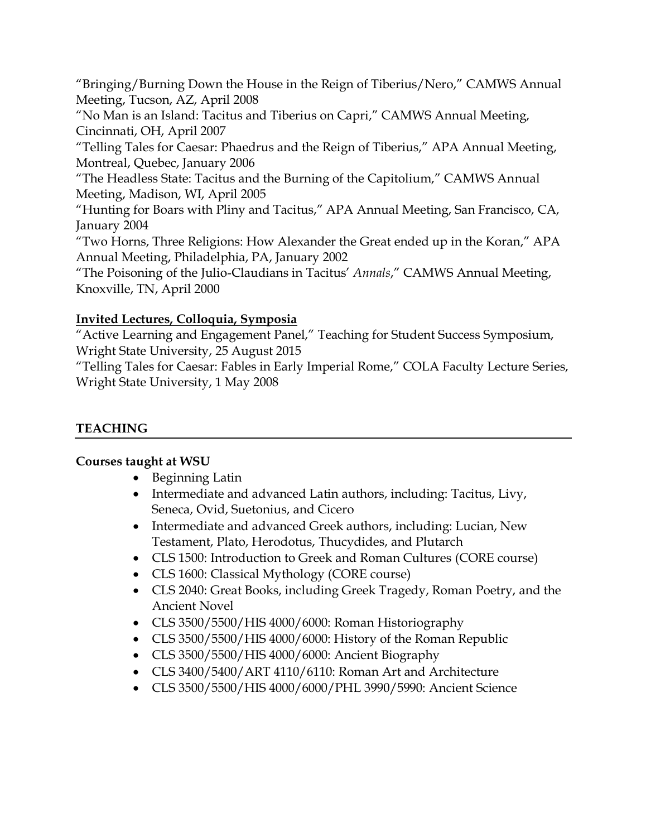"Bringing/Burning Down the House in the Reign of Tiberius/Nero," CAMWS Annual Meeting, Tucson, AZ, April 2008

"No Man is an Island: Tacitus and Tiberius on Capri," CAMWS Annual Meeting, Cincinnati, OH, April 2007

"Telling Tales for Caesar: Phaedrus and the Reign of Tiberius," APA Annual Meeting, Montreal, Quebec, January 2006

"The Headless State: Tacitus and the Burning of the Capitolium," CAMWS Annual Meeting, Madison, WI, April 2005

"Hunting for Boars with Pliny and Tacitus," APA Annual Meeting, San Francisco, CA, January 2004

"Two Horns, Three Religions: How Alexander the Great ended up in the Koran," APA Annual Meeting, Philadelphia, PA, January 2002

"The Poisoning of the Julio-Claudians in Tacitus' *Annals*," CAMWS Annual Meeting, Knoxville, TN, April 2000

# **Invited Lectures, Colloquia, Symposia**

"Active Learning and Engagement Panel," Teaching for Student Success Symposium, Wright State University, 25 August 2015

"Telling Tales for Caesar: Fables in Early Imperial Rome," COLA Faculty Lecture Series, Wright State University, 1 May 2008

# **TEACHING**

## **Courses taught at WSU**

- Beginning Latin
- Intermediate and advanced Latin authors, including: Tacitus, Livy, Seneca, Ovid, Suetonius, and Cicero
- Intermediate and advanced Greek authors, including: Lucian, New Testament, Plato, Herodotus, Thucydides, and Plutarch
- CLS 1500: Introduction to Greek and Roman Cultures (CORE course)
- CLS 1600: Classical Mythology (CORE course)
- CLS 2040: Great Books, including Greek Tragedy, Roman Poetry, and the Ancient Novel
- CLS 3500/5500/HIS 4000/6000: Roman Historiography
- CLS 3500/5500/HIS 4000/6000: History of the Roman Republic
- CLS 3500/5500/HIS 4000/6000: Ancient Biography
- CLS 3400/5400/ART 4110/6110: Roman Art and Architecture
- CLS 3500/5500/HIS 4000/6000/PHL 3990/5990: Ancient Science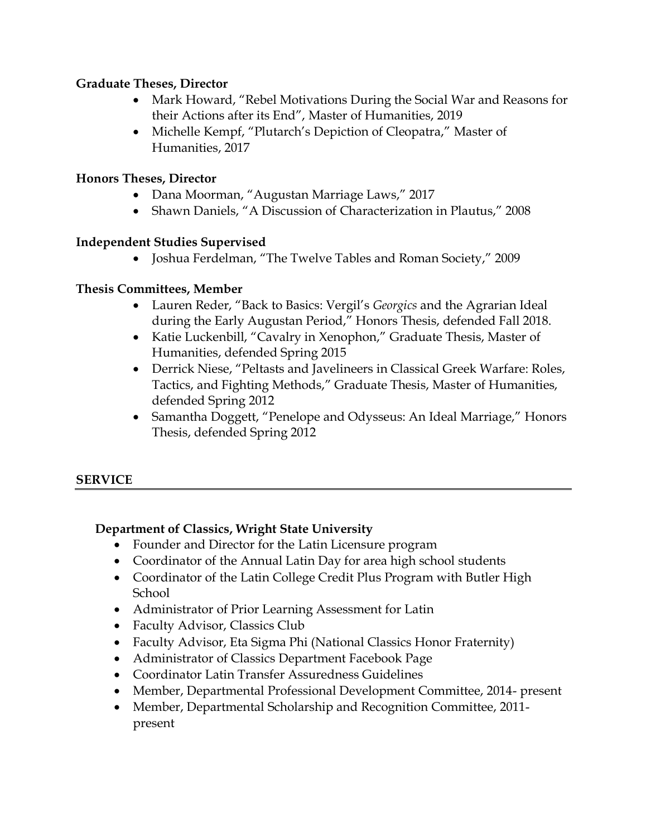## **Graduate Theses, Director**

- Mark Howard, "Rebel Motivations During the Social War and Reasons for their Actions after its End", Master of Humanities, 2019
- Michelle Kempf, "Plutarch's Depiction of Cleopatra," Master of Humanities, 2017

### **Honors Theses, Director**

- Dana Moorman, "Augustan Marriage Laws," 2017
- Shawn Daniels, "A Discussion of Characterization in Plautus," 2008

### **Independent Studies Supervised**

• Joshua Ferdelman, "The Twelve Tables and Roman Society," 2009

## **Thesis Committees, Member**

- Lauren Reder, "Back to Basics: Vergil's *Georgics* and the Agrarian Ideal during the Early Augustan Period," Honors Thesis, defended Fall 2018.
- Katie Luckenbill, "Cavalry in Xenophon," Graduate Thesis, Master of Humanities, defended Spring 2015
- Derrick Niese, "Peltasts and Javelineers in Classical Greek Warfare: Roles, Tactics, and Fighting Methods," Graduate Thesis, Master of Humanities, defended Spring 2012
- Samantha Doggett, "Penelope and Odysseus: An Ideal Marriage," Honors Thesis, defended Spring 2012

## **SERVICE**

## **Department of Classics, Wright State University**

- Founder and Director for the Latin Licensure program
- Coordinator of the Annual Latin Day for area high school students
- Coordinator of the Latin College Credit Plus Program with Butler High School
- Administrator of Prior Learning Assessment for Latin
- Faculty Advisor, Classics Club
- Faculty Advisor, Eta Sigma Phi (National Classics Honor Fraternity)
- Administrator of Classics Department Facebook Page
- Coordinator Latin Transfer Assuredness Guidelines
- Member, Departmental Professional Development Committee, 2014- present
- Member, Departmental Scholarship and Recognition Committee, 2011 present